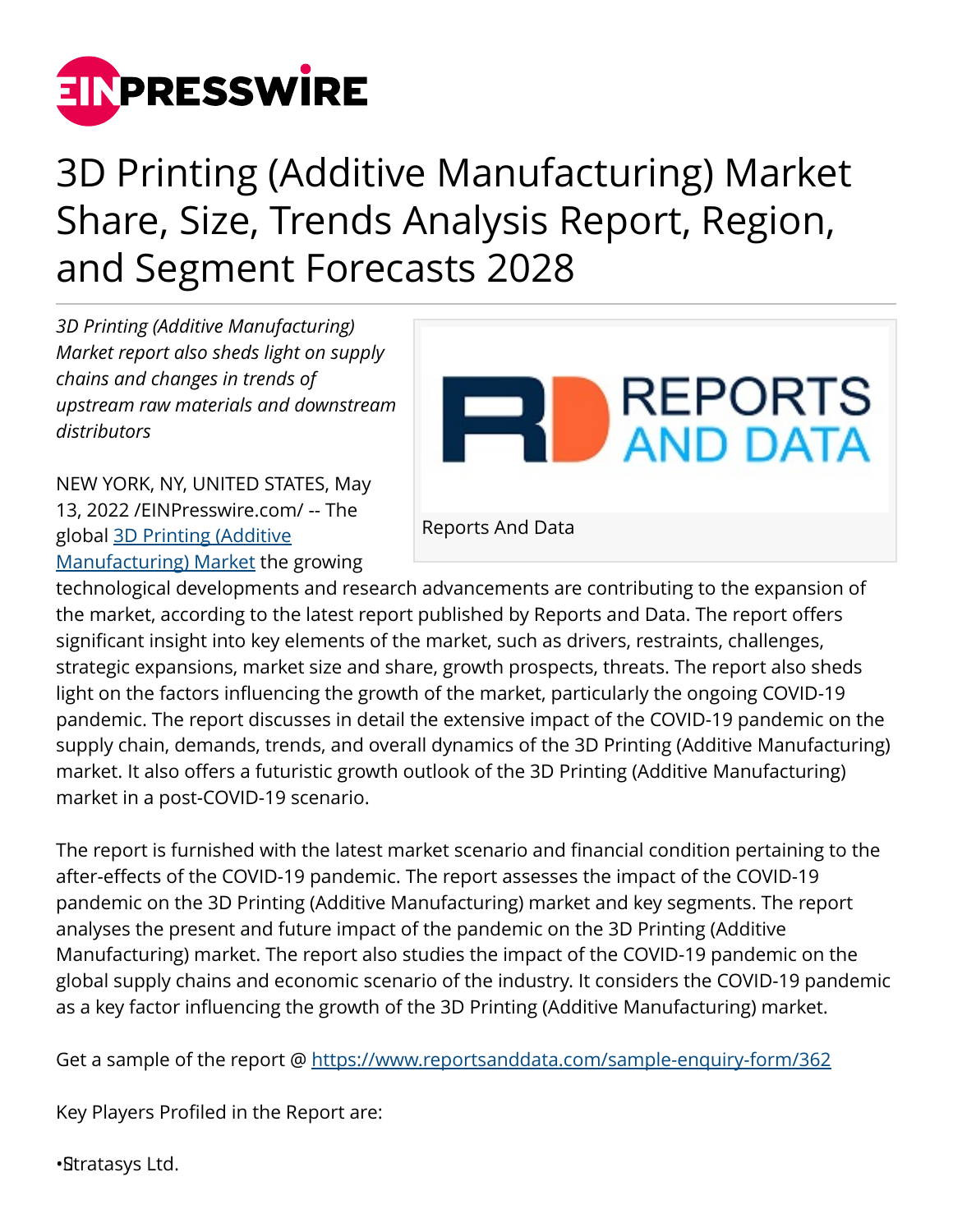

## 3D Printing (Additive Manufacturing) Market Share, Size, Trends Analysis Report, Region, and Segment Forecasts 2028

*3D Printing (Additive Manufacturing) Market report also sheds light on supply chains and changes in trends of upstream raw materials and downstream distributors*



NEW YORK, NY, UNITED STATES, May 13, 2022 /[EINPresswire.com/](http://www.einpresswire.com) -- The global [3D Printing \(Additive](https://www.reportsanddata.com/report-detail/3d-printing-additive-manufacturing-market) [Manufacturing\) Market](https://www.reportsanddata.com/report-detail/3d-printing-additive-manufacturing-market) the growing

Reports And Data

technological developments and research advancements are contributing to the expansion of the market, according to the latest report published by Reports and Data. The report offers significant insight into key elements of the market, such as drivers, restraints, challenges, strategic expansions, market size and share, growth prospects, threats. The report also sheds light on the factors influencing the growth of the market, particularly the ongoing COVID-19 pandemic. The report discusses in detail the extensive impact of the COVID-19 pandemic on the supply chain, demands, trends, and overall dynamics of the 3D Printing (Additive Manufacturing) market. It also offers a futuristic growth outlook of the 3D Printing (Additive Manufacturing) market in a post-COVID-19 scenario.

The report is furnished with the latest market scenario and financial condition pertaining to the after-effects of the COVID-19 pandemic. The report assesses the impact of the COVID-19 pandemic on the 3D Printing (Additive Manufacturing) market and key segments. The report analyses the present and future impact of the pandemic on the 3D Printing (Additive Manufacturing) market. The report also studies the impact of the COVID-19 pandemic on the global supply chains and economic scenario of the industry. It considers the COVID-19 pandemic as a key factor influencing the growth of the 3D Printing (Additive Manufacturing) market.

Get a sample of the report @<https://www.reportsanddata.com/sample-enquiry-form/362>

Key Players Profiled in the Report are:

• Stratasys Ltd.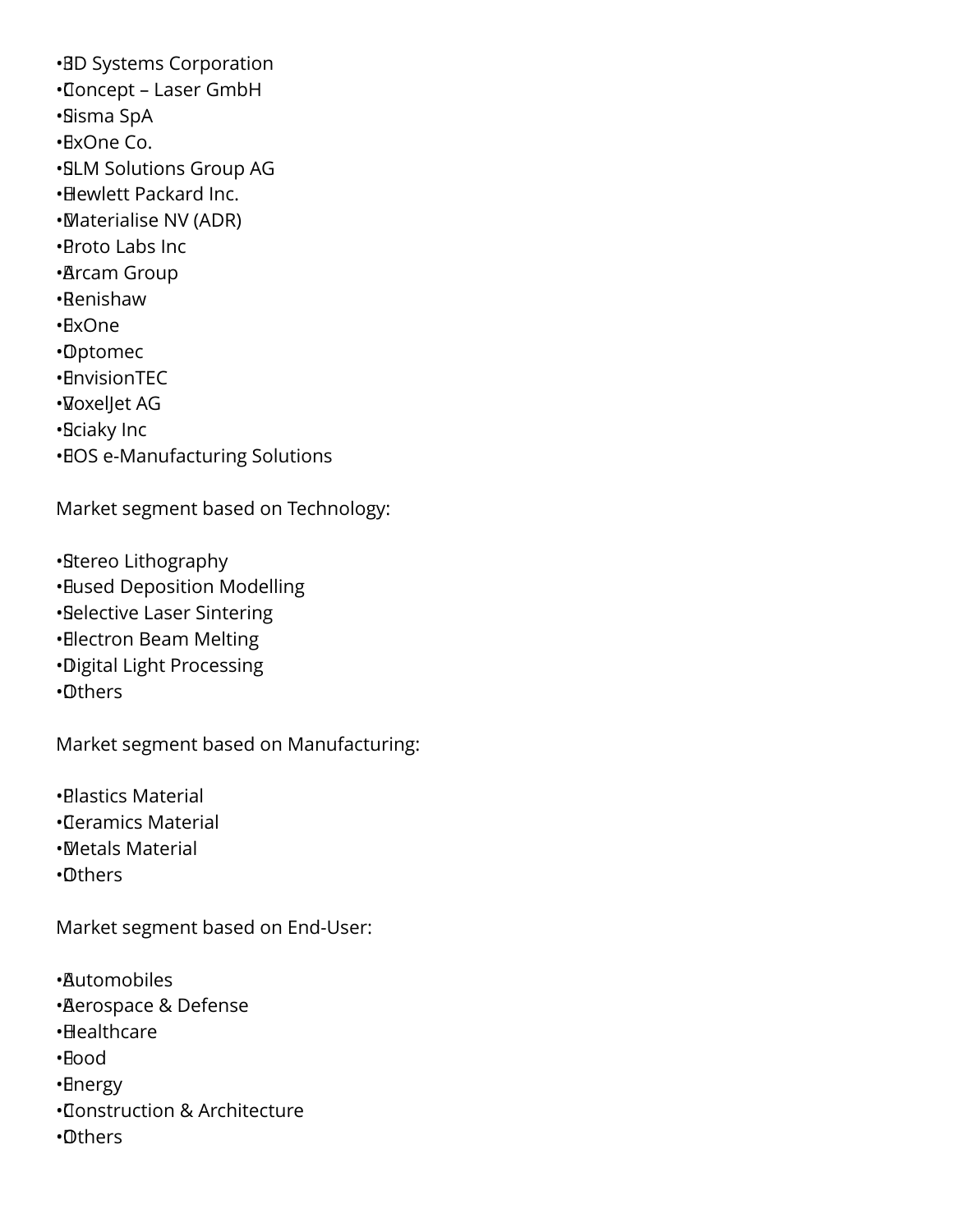**•BD Systems Corporation** • Concept – Laser GmbH • Sisma SpA • ExOne Co. • SLM Solutions Group AG • Hewlett Packard Inc. • Materialise NV (ADR) • Proto Labs Inc • Arcam Group • Renishaw • ExOne • Optomec • EnvisionTEC • VoxelJet AG • Sciaky Inc • EOS e-Manufacturing Solutions

Market segment based on Technology:

• Stereo Lithography

• Fused Deposition Modelling

• Selective Laser Sintering

• Electron Beam Melting

• Digital Light Processing

• Others

Market segment based on Manufacturing:

• Plastics Material

• Ceramics Material

• Metals Material

• Others

Market segment based on End-User:

• Automobiles

• Aerospace & Defense

• Healthcare

• Food

• Energy

• Construction & Architecture

• Others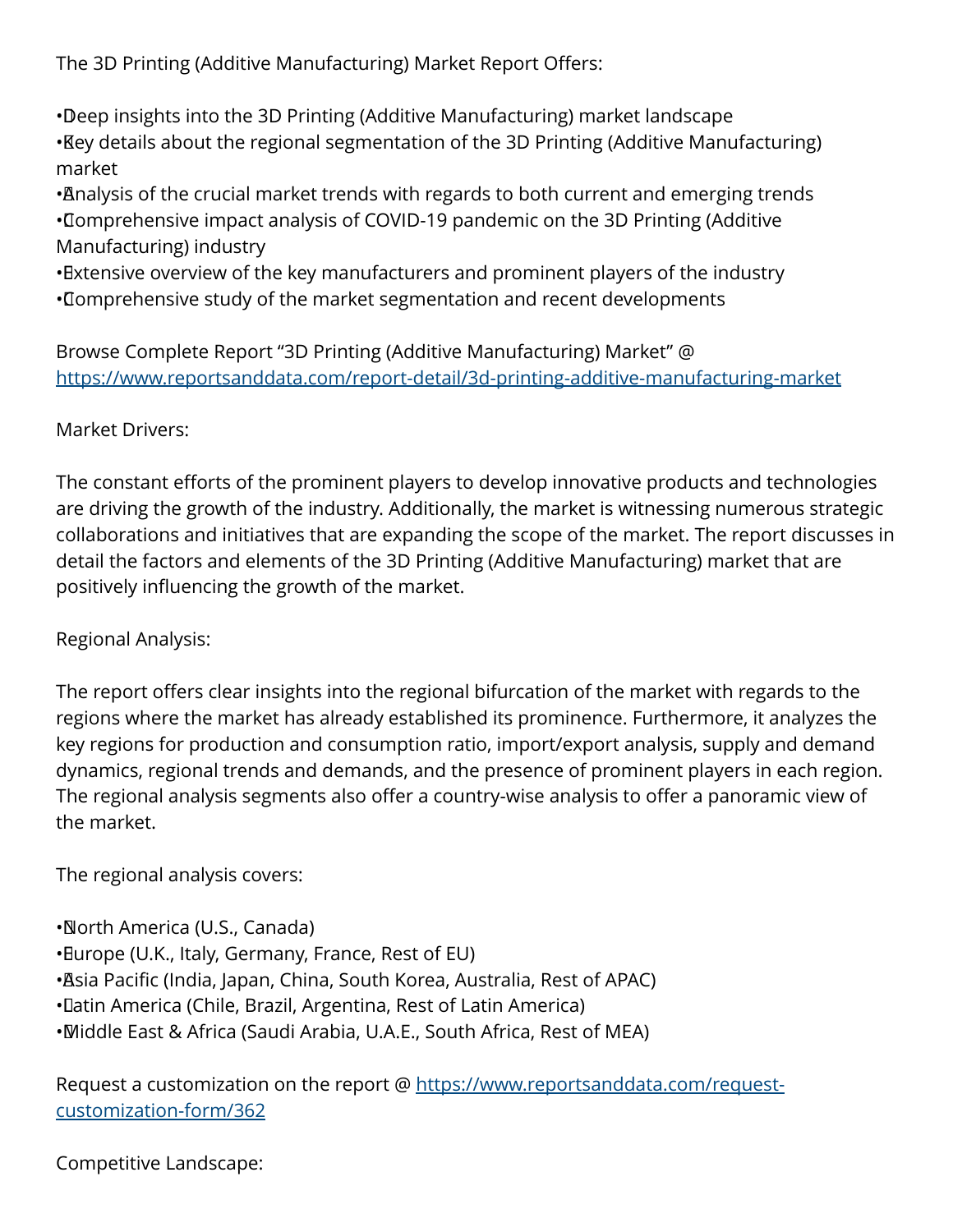The 3D Printing (Additive Manufacturing) Market Report Offers:

• Deep insights into the 3D Printing (Additive Manufacturing) market landscape • Key details about the regional segmentation of the 3D Printing (Additive Manufacturing) market

• Analysis of the crucial market trends with regards to both current and emerging trends • Comprehensive impact analysis of COVID-19 pandemic on the 3D Printing (Additive Manufacturing) industry

• Extensive overview of the key manufacturers and prominent players of the industry • Comprehensive study of the market segmentation and recent developments

Browse Complete Report "3D Printing (Additive Manufacturing) Market" @ <https://www.reportsanddata.com/report-detail/3d-printing-additive-manufacturing-market>

## Market Drivers:

The constant efforts of the prominent players to develop innovative products and technologies are driving the growth of the industry. Additionally, the market is witnessing numerous strategic collaborations and initiatives that are expanding the scope of the market. The report discusses in detail the factors and elements of the 3D Printing (Additive Manufacturing) market that are positively influencing the growth of the market.

## Regional Analysis:

The report offers clear insights into the regional bifurcation of the market with regards to the regions where the market has already established its prominence. Furthermore, it analyzes the key regions for production and consumption ratio, import/export analysis, supply and demand dynamics, regional trends and demands, and the presence of prominent players in each region. The regional analysis segments also offer a country-wise analysis to offer a panoramic view of the market.

The regional analysis covers:

- • North America (U.S., Canada)
- • Europe (U.K., Italy, Germany, France, Rest of EU)
- • Asia Pacific (India, Japan, China, South Korea, Australia, Rest of APAC)
- • Latin America (Chile, Brazil, Argentina, Rest of Latin America)
- • Middle East & Africa (Saudi Arabia, U.A.E., South Africa, Rest of MEA)

Request a customization on the report @ [https://www.reportsanddata.com/request](https://www.reportsanddata.com/request-customization-form/362)[customization-form/362](https://www.reportsanddata.com/request-customization-form/362)

## Competitive Landscape: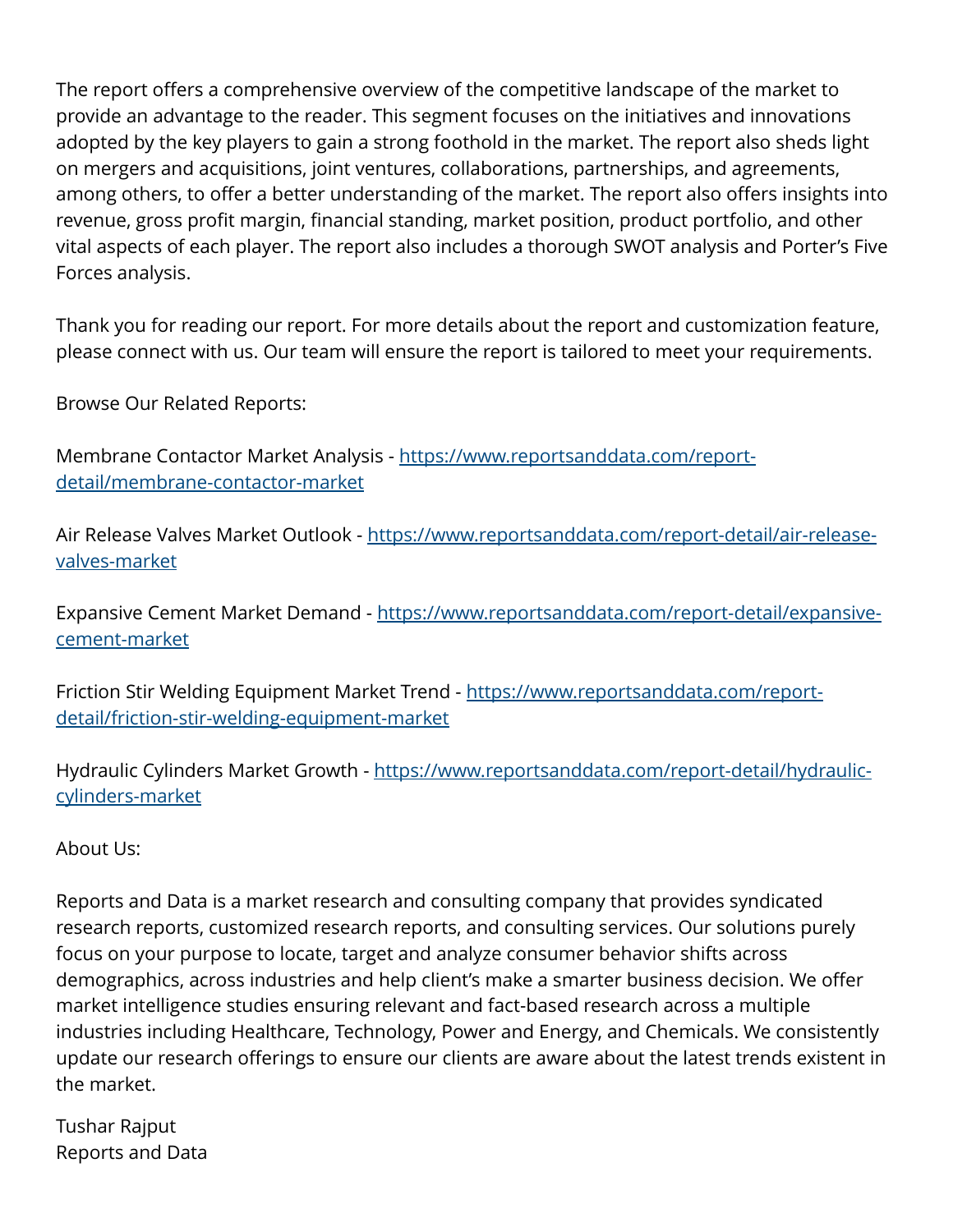The report offers a comprehensive overview of the competitive landscape of the market to provide an advantage to the reader. This segment focuses on the initiatives and innovations adopted by the key players to gain a strong foothold in the market. The report also sheds light on mergers and acquisitions, joint ventures, collaborations, partnerships, and agreements, among others, to offer a better understanding of the market. The report also offers insights into revenue, gross profit margin, financial standing, market position, product portfolio, and other vital aspects of each player. The report also includes a thorough SWOT analysis and Porter's Five Forces analysis.

Thank you for reading our report. For more details about the report and customization feature, please connect with us. Our team will ensure the report is tailored to meet your requirements.

Browse Our Related Reports:

Membrane Contactor Market Analysis - [https://www.reportsanddata.com/report](https://www.reportsanddata.com/report-detail/membrane-contactor-market)[detail/membrane-contactor-market](https://www.reportsanddata.com/report-detail/membrane-contactor-market)

Air Release Valves Market Outlook - [https://www.reportsanddata.com/report-detail/air-release](https://www.reportsanddata.com/report-detail/air-release-valves-market)[valves-market](https://www.reportsanddata.com/report-detail/air-release-valves-market)

Expansive Cement Market Demand - [https://www.reportsanddata.com/report-detail/expansive](https://www.reportsanddata.com/report-detail/expansive-cement-market)[cement-market](https://www.reportsanddata.com/report-detail/expansive-cement-market)

Friction Stir Welding Equipment Market Trend - [https://www.reportsanddata.com/report](https://www.reportsanddata.com/report-detail/friction-stir-welding-equipment-market)[detail/friction-stir-welding-equipment-market](https://www.reportsanddata.com/report-detail/friction-stir-welding-equipment-market)

Hydraulic Cylinders Market Growth - [https://www.reportsanddata.com/report-detail/hydraulic](https://www.reportsanddata.com/report-detail/hydraulic-cylinders-market)[cylinders-market](https://www.reportsanddata.com/report-detail/hydraulic-cylinders-market)

About Us:

Reports and Data is a market research and consulting company that provides syndicated research reports, customized research reports, and consulting services. Our solutions purely focus on your purpose to locate, target and analyze consumer behavior shifts across demographics, across industries and help client's make a smarter business decision. We offer market intelligence studies ensuring relevant and fact-based research across a multiple industries including Healthcare, Technology, Power and Energy, and Chemicals. We consistently update our research offerings to ensure our clients are aware about the latest trends existent in the market.

Tushar Rajput Reports and Data